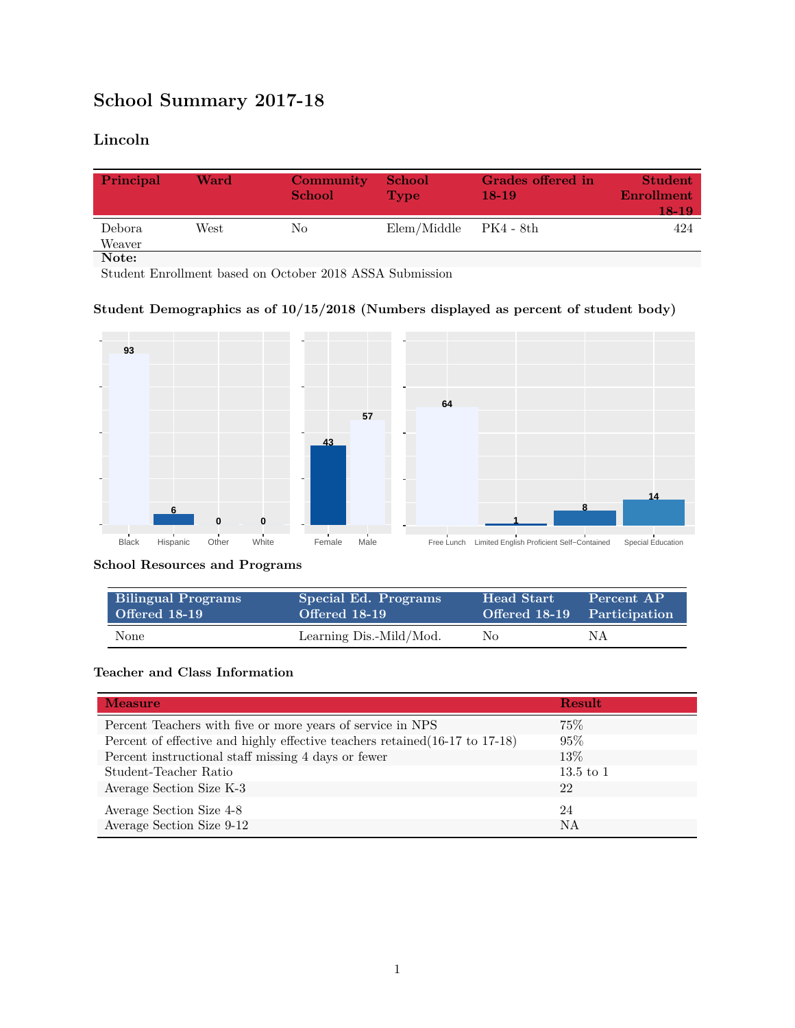# **School Summary 2017-18**

## **Lincoln**

| Principal        | Ward | Community<br><b>School</b> | <b>School</b><br>Type     | Grades offered in<br>$18-19$ | <b>Student</b><br>Enrollment<br>18-19 |
|------------------|------|----------------------------|---------------------------|------------------------------|---------------------------------------|
| Debora<br>Weaver | West | No                         | $Elem/Middle$ $PK4 - 8th$ |                              | 424                                   |
| Note:            |      |                            |                           |                              |                                       |

Student Enrollment based on October 2018 ASSA Submission

#### **Student Demographics as of 10/15/2018 (Numbers displayed as percent of student body)**



#### **School Resources and Programs**

| <b>Bilingual Programs</b> | Special Ed. Programs    | <b>Head Start</b> | Percent AP                  |
|---------------------------|-------------------------|-------------------|-----------------------------|
| Offered 18-19             | Offered 18-19           |                   | Offered 18-19 Participation |
| None                      | Learning Dis.-Mild/Mod. | No                | ΝA                          |

### **Teacher and Class Information**

| <b>Measure</b>                                                               | <b>Result</b> |
|------------------------------------------------------------------------------|---------------|
| Percent Teachers with five or more years of service in NPS                   | $75\%$        |
| Percent of effective and highly effective teachers retained (16-17 to 17-18) | 95%           |
| Percent instructional staff missing 4 days or fewer                          | 13\%          |
| Student-Teacher Ratio                                                        | $13.5$ to 1   |
| Average Section Size K-3                                                     | 22            |
| Average Section Size 4-8                                                     | 24            |
| Average Section Size 9-12                                                    | <b>NA</b>     |